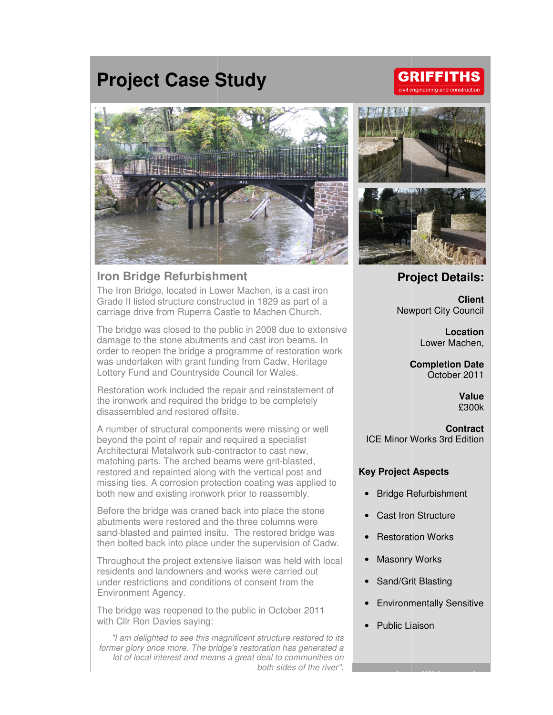# **Project Case Study**



### **Iron Bridge Refurbishment**

The Iron Bridge, located in Lower Machen, is a cast iron Grade II listed structure constructed in 1829 as part of a carriage drive from Ruperra Castle to Machen Church.

The bridge was closed to the public in 2008 due to extensive damage to the stone abutments and cast iron beams. order to reopen the bridge a programme of restoration work was undertaken with grant funding from Cadw, Heritage was undertaken with grant funding from Cadw, He<br>Lottery Fund and Countryside Council for Wales. ra Castle to Machen Church.<br>the public in 2008 due to exten<br>ments and cast iron beams. In

Restoration work included the repair and reinstatement of<br>the ironwork and required the bridge to be completely<br>disassembled and restored offsite.<br>A number of structural components were missing or well<br>beyond the point of the ironwork and required the bridge to be completely disassembled and restored offsite.

A number of structural components were missing or well beyond the point of repair and required a specialist Architectural Metalwork sub-contractor to cast new, Architectural Metalwork sub-contractor to cast new,<br>matching parts. The arched beams were grit-blasted, restored and repainted along with the vertical post and missing ties. A corrosion protection coating was applied to both new and existing ironwork prior to reassembly.

Before the bridge was craned back into place the stone<br>abutments were restored and the three columns were abutments were restored and the three columns were sand-blasted and painted insitu. The restored bridge was then bolted back into place under the supervision of Cadw Cadw.

Throughout the project extensive l liaison was held with local residents and landowners and works were carried out under restrictions and conditions of consent from the Environment Agency.

The bridge was reopened to the public in October 2011 with Cllr Ron Davies saying:

"I am delighted to see this magnificent structure restored to its former glory once more. The bridge's restoration has generated a lot of local interest and means a great deal to communities on delighted to see this magnificent structure restored to its<br>ory once more. The bridge's restoration has generated a<br>local interest and means a great deal to communities on<br>both sides of the river".



## **Project Details:**

Newport City Council Newport **Client** 

> **Location**  Lower Machen,

**Completion Date** October 2011

> **Value**  £300k

ICE Minor Works 3rd Edition **Contract** 

#### **Key Project Aspects**

- Bridge Refurbishment ICE Minor Works 3rd<br> **ey Project Aspects<br>
•** Bridge Refurbishm<br>
• Cast Iron Structure<br>
• Restoration Works
- Cast Iron Structure
- **Restoration Works**
- Masonry Works
- Sand/Grit Blasting
- Environmentally Sensitive

**www.alungriffiths.com** 

• Public Liaison